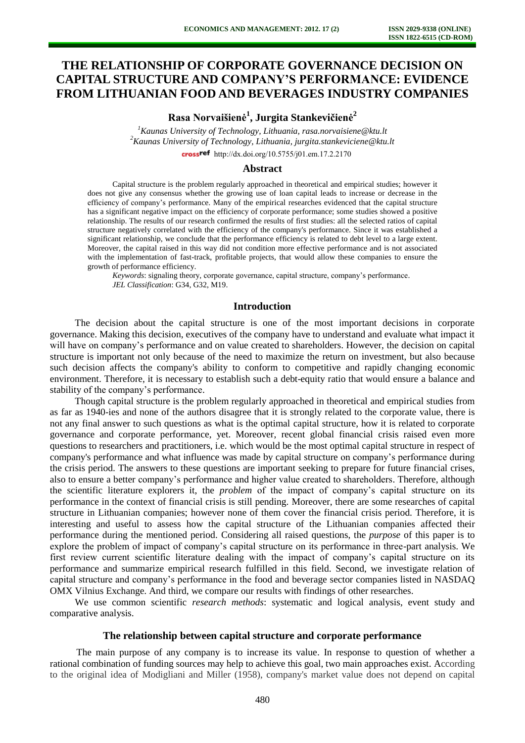# **THE RELATIONSHIP OF CORPORATE GOVERNANCE DECISION ON CAPITAL STRUCTURE AND COMPANY'S PERFORMANCE: EVIDENCE FROM LITHUANIAN FOOD AND BEVERAGES INDUSTRY COMPANIES**

**Rasa Norvaišienė<sup>1</sup> , Jurgita Stankevičienė<sup>2</sup>**

*<sup>1</sup>Kaunas University of Technology, Lithuania, rasa.norvaisiene@ktu.lt <sup>2</sup>Kaunas University of Technology, Lithuania, [jurgita.stankeviciene@ktu.lt](mailto:jurgita.stankeviciene@ktu.lt)*

crossref [http://dx.doi.org/10.5755/j01.e](http://dx.doi.org/10.5755/j01.em.17.2.2170)m.17.2.2170

## **Abstract**

Capital structure is the problem regularly approached in theoretical and empirical studies; however it does not give any consensus whether the growing use of loan capital leads to increase or decrease in the efficiency of company's performance. Many of the empirical researches evidenced that the capital structure has a significant negative impact on the efficiency of corporate performance; some studies showed a positive relationship. The results of our research confirmed the results of first studies: all the selected ratios of capital structure negatively correlated with the efficiency of the company's performance. Since it was established a significant relationship, we conclude that the performance efficiency is related to debt level to a large extent. Moreover, the capital raised in this way did not condition more effective performance and is not associated with the implementation of fast-track, profitable projects, that would allow these companies to ensure the growth of performance efficiency.

*Keywords*: signaling theory, corporate governance, capital structure, company's performance. *JEL Classification*: G34, G32, M19.

## **Introduction**

The decision about the capital structure is one of the most important decisions in corporate governance. Making this decision, executives of the company have to understand and evaluate what impact it will have on company's performance and on value created to shareholders. However, the decision on capital structure is important not only because of the need to maximize the return on investment, but also because such decision affects the company's ability to conform to competitive and rapidly changing economic environment. Therefore, it is necessary to establish such a debt-equity ratio that would ensure a balance and stability of the company's performance.

Though capital structure is the problem regularly approached in theoretical and empirical studies from as far as 1940-ies and none of the authors disagree that it is strongly related to the corporate value, there is not any final answer to such questions as what is the optimal capital structure, how it is related to corporate governance and corporate performance, yet. Moreover, recent global financial crisis raised even more questions to researchers and practitioners, i.e. which would be the most optimal capital structure in respect of company's performance and what influence was made by capital structure on company's performance during the crisis period. The answers to these questions are important seeking to prepare for future financial crises, also to ensure a better company's performance and higher value created to shareholders. Therefore, although the scientific literature explorers it, the *problem* of the impact of company's capital structure on its performance in the context of financial crisis is still pending. Moreover, there are some researches of capital structure in Lithuanian companies; however none of them cover the financial crisis period. Therefore, it is interesting and useful to assess how the capital structure of the Lithuanian companies affected their performance during the mentioned period. Considering all raised questions, the *purpose* of this paper is to explore the problem of impact of company's capital structure on its performance in three-part analysis. We first review current scientific literature dealing with the impact of company's capital structure on its performance and summarize empirical research fulfilled in this field. Second, we investigate relation of capital structure and company's performance in the food and beverage sector companies listed in NASDAQ OMX Vilnius Exchange. And third, we compare our results with findings of other researches.

We use common scientific *research methods*: systematic and logical analysis, event study and comparative analysis.

#### **The relationship between capital structure and corporate performance**

The main purpose of any company is to increase its value. In response to question of whether a rational combination of funding sources may help to achieve this goal, two main approaches exist. According to the original idea of Modigliani and Miller (1958), company's market value does not depend on capital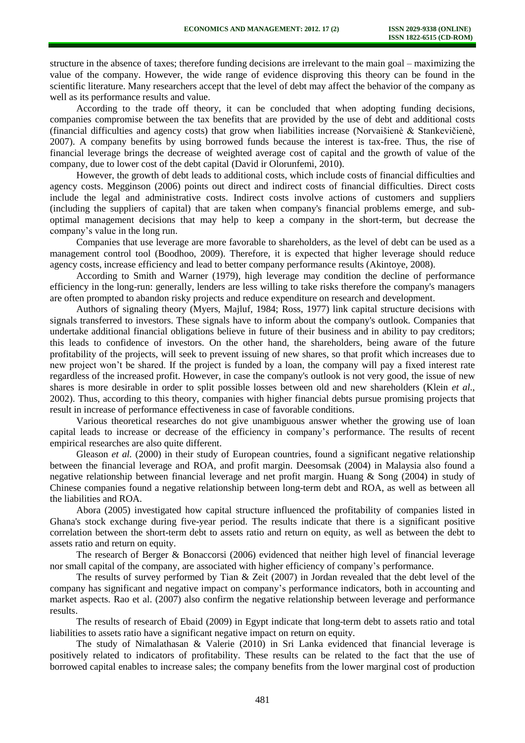structure in the absence of taxes; therefore funding decisions are irrelevant to the main goal – maximizing the value of the company. However, the wide range of evidence disproving this theory can be found in the scientific literature. Many researchers accept that the level of debt may affect the behavior of the company as well as its performance results and value.

According to the trade off theory, it can be concluded that when adopting funding decisions, companies compromise between the tax benefits that are provided by the use of debt and additional costs (financial difficulties and agency costs) that grow when liabilities increase (Norvaišienė & Stankevičienė, 2007). A company benefits by using borrowed funds because the interest is tax-free. Thus, the rise of financial leverage brings the decrease of weighted average cost of capital and the growth of value of the company, due to lower cost of the debt capital (David ir Olorunfemi, 2010).

However, the growth of debt leads to additional costs, which include costs of financial difficulties and agency costs. Megginson (2006) points out direct and indirect costs of financial difficulties. Direct costs include the legal and administrative costs. Indirect costs involve actions of customers and suppliers (including the suppliers of capital) that are taken when company's financial problems emerge, and suboptimal management decisions that may help to keep a company in the short-term, but decrease the company's value in the long run.

Companies that use leverage are more favorable to shareholders, as the level of debt can be used as a management control tool (Boodhoo, 2009). Therefore, it is expected that higher leverage should reduce agency costs, increase efficiency and lead to better company performance results (Akintoye, 2008).

According to Smith and Warner (1979), high leverage may condition the decline of performance efficiency in the long-run: generally, lenders are less willing to take risks therefore the company's managers are often prompted to abandon risky projects and reduce expenditure on research and development.

Authors of signaling theory (Myers, Majluf, 1984; Ross, 1977) link capital structure decisions with signals transferred to investors. These signals have to inform about the company's outlook. Companies that undertake additional financial obligations believe in future of their business and in ability to pay creditors; this leads to confidence of investors. On the other hand, the shareholders, being aware of the future profitability of the projects, will seek to prevent issuing of new shares, so that profit which increases due to new project won't be shared. If the project is funded by a loan, the company will pay a fixed interest rate regardless of the increased profit. However, in case the company's outlook is not very good, the issue of new shares is more desirable in order to split possible losses between old and new shareholders (Klein *et al.*, 2002). Thus, according to this theory, companies with higher financial debts pursue promising projects that result in increase of performance effectiveness in case of favorable conditions.

Various theoretical researches do not give unambiguous answer whether the growing use of loan capital leads to increase or decrease of the efficiency in company's performance. The results of recent empirical researches are also quite different.

Gleason *et al.* (2000) in their study of European countries, found a significant negative relationship between the financial leverage and ROA, and profit margin. Deesomsak (2004) in Malaysia also found a negative relationship between financial leverage and net profit margin. Huang & Song (2004) in study of Chinese companies found a negative relationship between long-term debt and ROA, as well as between all the liabilities and ROA.

Abora (2005) investigated how capital structure influenced the profitability of companies listed in Ghana's stock exchange during five-year period. The results indicate that there is a significant positive correlation between the short-term debt to assets ratio and return on equity, as well as between the debt to assets ratio and return on equity.

The research of Berger & Bonaccorsi (2006) evidenced that neither high level of financial leverage nor small capital of the company, are associated with higher efficiency of company's performance.

The results of survey performed by Tian  $& Zeit (2007)$  in Jordan revealed that the debt level of the company has significant and negative impact on company's performance indicators, both in accounting and market aspects. Rao et al. (2007) also confirm the negative relationship between leverage and performance results.

The results of research of Ebaid (2009) in Egypt indicate that long-term debt to assets ratio and total liabilities to assets ratio have a significant negative impact on return on equity.

The study of Nimalathasan & Valerie (2010) in Sri Lanka evidenced that financial leverage is positively related to indicators of profitability. These results can be related to the fact that the use of borrowed capital enables to increase sales; the company benefits from the lower marginal cost of production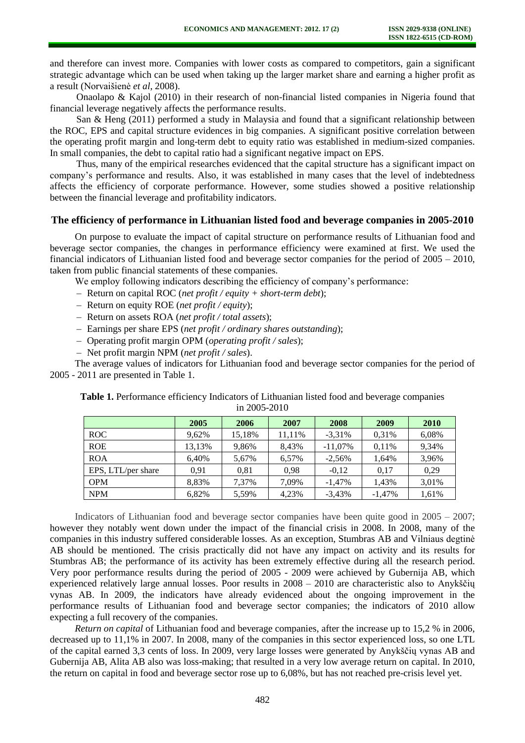and therefore can invest more. Companies with lower costs as compared to competitors, gain a significant strategic advantage which can be used when taking up the larger market share and earning a higher profit as a result (Norvaišienė *et al*, 2008).

Onaolapo & Kajol (2010) in their research of non-financial listed companies in Nigeria found that financial leverage negatively affects the performance results.

San & Heng (2011) performed a study in Malaysia and found that a significant relationship between the ROC, EPS and capital structure evidences in big companies. A significant positive correlation between the operating profit margin and long-term debt to equity ratio was established in medium-sized companies. In small companies, the debt to capital ratio had a significant negative impact on EPS.

Thus, many of the empirical researches evidenced that the capital structure has a significant impact on company's performance and results. Also, it was established in many cases that the level of indebtedness affects the efficiency of corporate performance. However, some studies showed a positive relationship between the financial leverage and profitability indicators.

## **The efficiency of performance in Lithuanian listed food and beverage companies in 2005-2010**

On purpose to evaluate the impact of capital structure on performance results of Lithuanian food and beverage sector companies, the changes in performance efficiency were examined at first. We used the financial indicators of Lithuanian listed food and beverage sector companies for the period of 2005 – 2010, taken from public financial statements of these companies.

We employ following indicators describing the efficiency of company's performance:

- Return on capital ROC (*net profit / equity + short-term debt*);
- Return on equity ROE (*net profit / equity*);
- Return on assets ROA (*net profit / total assets*);
- Earnings per share EPS (*net profit / ordinary shares outstanding*);
- Operating profit margin OPM (*operating profit / sales*);
- Net profit margin NPM (*net profit / sales*).

The average values of indicators for Lithuanian food and beverage sector companies for the period of 2005 - 2011 are presented in Table 1.

**Table 1.** Performance efficiency Indicators of Lithuanian listed food and beverage companies in 2005-2010

|                    | 2005   | 2006   | 2007   | 2008       | 2009     | 2010  |
|--------------------|--------|--------|--------|------------|----------|-------|
| <b>ROC</b>         | 9.62%  | 15,18% | 11.11% | $-3.31\%$  | 0.31%    | 6,08% |
| <b>ROE</b>         | 13,13% | 9.86%  | 8.43%  | $-11.07\%$ | 0.11%    | 9.34% |
| <b>ROA</b>         | 6.40%  | 5,67%  | 6.57%  | $-2,56%$   | 1.64%    | 3,96% |
| EPS, LTL/per share | 0.91   | 0.81   | 0.98   | $-0.12$    | 0.17     | 0.29  |
| <b>OPM</b>         | 8,83%  | 7.37%  | 7.09%  | $-1.47\%$  | 1.43%    | 3,01% |
| <b>NPM</b>         | 6,82%  | 5,59%  | 4,23%  | $-3,43\%$  | $-1.47%$ | 1,61% |

Indicators of Lithuanian food and beverage sector companies have been quite good in 2005 – 2007; however they notably went down under the impact of the financial crisis in 2008. In 2008, many of the companies in this industry suffered considerable losses. As an exception, Stumbras AB and Vilniaus degtinė AB should be mentioned. The crisis practically did not have any impact on activity and its results for Stumbras AB; the performance of its activity has been extremely effective during all the research period. Very poor performance results during the period of 2005 - 2009 were achieved by Gubernija AB, which experienced relatively large annual losses. Poor results in 2008 – 2010 are characteristic also to Anykščių vynas AB. In 2009, the indicators have already evidenced about the ongoing improvement in the performance results of Lithuanian food and beverage sector companies; the indicators of 2010 allow expecting a full recovery of the companies.

*Return on capital* of Lithuanian food and beverage companies, after the increase up to 15,2 % in 2006, decreased up to 11,1% in 2007. In 2008, many of the companies in this sector experienced loss, so one LTL of the capital earned 3,3 cents of loss. In 2009, very large losses were generated by Anykščių vynas AB and Gubernija AB, Alita AB also was loss-making; that resulted in a very low average return on capital. In 2010, the return on capital in food and beverage sector rose up to 6,08%, but has not reached pre-crisis level yet.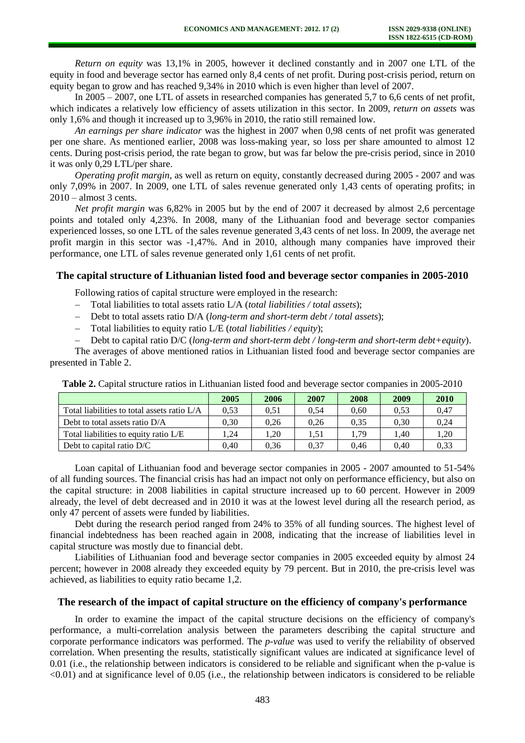*Return on equity* was 13,1% in 2005, however it declined constantly and in 2007 one LTL of the equity in food and beverage sector has earned only 8,4 cents of net profit. During post-crisis period, return on equity began to grow and has reached 9,34% in 2010 which is even higher than level of 2007.

In 2005 – 2007, one LTL of assets in researched companies has generated 5,7 to 6,6 cents of net profit, which indicates a relatively low efficiency of assets utilization in this sector. In 2009, *return on assets* was only 1,6% and though it increased up to 3,96% in 2010, the ratio still remained low.

*An earnings per share indicator* was the highest in 2007 when 0,98 cents of net profit was generated per one share. As mentioned earlier, 2008 was loss-making year, so loss per share amounted to almost 12 cents. During post-crisis period, the rate began to grow, but was far below the pre-crisis period, since in 2010 it was only 0,29 LTL/per share.

*Operating profit margin*, as well as return on equity, constantly decreased during 2005 - 2007 and was only 7,09% in 2007. In 2009, one LTL of sales revenue generated only 1,43 cents of operating profits; in  $2010 - \text{almost } 3 \text{ cents}.$ 

*Net profit margin* was 6,82% in 2005 but by the end of 2007 it decreased by almost 2,6 percentage points and totaled only 4,23%. In 2008, many of the Lithuanian food and beverage sector companies experienced losses, so one LTL of the sales revenue generated 3,43 cents of net loss. In 2009, the average net profit margin in this sector was -1,47%. And in 2010, although many companies have improved their performance, one LTL of sales revenue generated only 1,61 cents of net profit.

# **The capital structure of Lithuanian listed food and beverage sector companies in 2005-2010**

Following ratios of capital structure were employed in the research:

- Total liabilities to total assets ratio L/A (*total liabilities / total assets*);  $\equiv$
- Debt to total assets ratio D/A (*long-term and short-term debt / total assets*);
- Total liabilities to equity ratio L/E (*total liabilities / equity*);

Debt to capital ratio D/C (*long-term and short-term debt / long-term and short-term debt+equity*).

The averages of above mentioned ratios in Lithuanian listed food and beverage sector companies are presented in Table 2.

|                                             | 2005 | 2006 | 2007 | 2008   | 2009 | 2010 |
|---------------------------------------------|------|------|------|--------|------|------|
| Total liabilities to total assets ratio L/A | 0.53 | 0.51 | 0.54 | 0.60   | 0.53 | 0.47 |
| Debt to total assets ratio $D/A$            | 0.30 | 0.26 | 0.26 | 0.35   | 0.30 | 0.24 |
| Total liabilities to equity ratio L/E       | .24  | .20  | 1.51 | . . 79 | .40  | 1.20 |
| Debt to capital ratio D/C                   | 0.40 | 0.36 | 0.37 | 0.46   | 0.40 | 0.33 |

**Table 2.** Capital structure ratios in Lithuanian listed food and beverage sector companies in 2005-2010

Loan capital of Lithuanian food and beverage sector companies in 2005 - 2007 amounted to 51-54% of all funding sources. The financial crisis has had an impact not only on performance efficiency, but also on the capital structure: in 2008 liabilities in capital structure increased up to 60 percent. However in 2009 already, the level of debt decreased and in 2010 it was at the lowest level during all the research period, as only 47 percent of assets were funded by liabilities.

Debt during the research period ranged from 24% to 35% of all funding sources. The highest level of financial indebtedness has been reached again in 2008, indicating that the increase of liabilities level in capital structure was mostly due to financial debt.

Liabilities of Lithuanian food and beverage sector companies in 2005 exceeded equity by almost 24 percent; however in 2008 already they exceeded equity by 79 percent. But in 2010, the pre-crisis level was achieved, as liabilities to equity ratio became 1,2.

#### **The research of the impact of capital structure on the efficiency of company's performance**

In order to examine the impact of the capital structure decisions on the efficiency of company's performance, a multi-correlation analysis between the parameters describing the capital structure and corporate performance indicators was performed. The *p-value* was used to verify the reliability of observed correlation. When presenting the results, statistically significant values are indicated at significance level of 0.01 (i.e., the relationship between indicators is considered to be reliable and significant when the p-value is <0.01) and at significance level of 0.05 (i.e., the relationship between indicators is considered to be reliable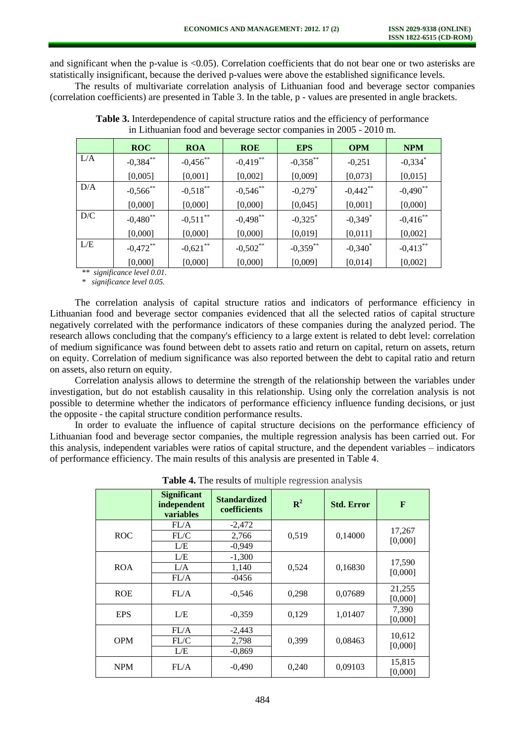and significant when the p-value is <0.05). Correlation coefficients that do not bear one or two asterisks are statistically insignificant, because the derived p-values were above the established significance levels.

The results of multivariate correlation analysis of Lithuanian food and beverage sector companies (correlation coefficients) are presented in Table 3. In the table, p - values are presented in angle brackets.

|     | <b>ROC</b>  | <b>ROA</b>             | <b>ROE</b>             | <b>EPS</b>            | <b>OPM</b>            | <b>NPM</b>             |
|-----|-------------|------------------------|------------------------|-----------------------|-----------------------|------------------------|
| L/A | $-0,384$ ** | $-0,456$ **            | $-0,419$ <sup>**</sup> | $-0,358$ **           | $-0,251$              | $-0,334$ <sup>*</sup>  |
|     | [0,005]     | [0,001]                | [0,002]                | [0,009]               | [0,073]               | [0,015]                |
| D/A | $-0,566$ ** | $-0,518$ **            | $-0,546$ **            | $-0,279$ <sup>*</sup> | $-0,442$ **           | $-0,490$ <sup>**</sup> |
|     | [0,000]     | [0,000]                | [0,000]                | [0,045]               | [0,001]               | [0,000]                |
| D/C | $-0,480$ ** | $-0,511$ <sup>**</sup> | $-0,498$ **            | $-0,325$ *            | $-0,349$ <sup>*</sup> | $-0,416$ **            |
|     | [0,000]     | [0,000]                | [0,000]                | [0,019]               | [0,011]               | [0,002]                |
| L/E | $-0.472$ ** | $-0,621$ **            | $-0,502$ **            | $-0,359$ **           | $-0,340^*$            | $-0,413$ <sup>**</sup> |
|     | [0,000]     | [0,000]                | [0,000]                | [0,009]               | [0,014]               | [0,002]                |

**Table 3.** Interdependence of capital structure ratios and the efficiency of performance in Lithuanian food and beverage sector companies in 2005 - 2010 m.

*\*\* significance level 0.01.* 

*\* significance level 0.05.* 

The correlation analysis of capital structure ratios and indicators of performance efficiency in Lithuanian food and beverage sector companies evidenced that all the selected ratios of capital structure negatively correlated with the performance indicators of these companies during the analyzed period. The research allows concluding that the company's efficiency to a large extent is related to debt level: correlation of medium significance was found between debt to assets ratio and return on capital, return on assets, return on equity. Correlation of medium significance was also reported between the debt to capital ratio and return on assets, also return on equity.

Correlation analysis allows to determine the strength of the relationship between the variables under investigation, but do not establish causality in this relationship. Using only the correlation analysis is not possible to determine whether the indicators of performance efficiency influence funding decisions, or just the opposite - the capital structure condition performance results.

In order to evaluate the influence of capital structure decisions on the performance efficiency of Lithuanian food and beverage sector companies, the multiple regression analysis has been carried out. For this analysis, independent variables were ratios of capital structure, and the dependent variables – indicators of performance efficiency. The main results of this analysis are presented in Table 4.

|            | <b>Significant</b><br>independent<br>variables | <b>Standardized</b><br>coefficients | ${\bf R}^2$ | <b>Std. Error</b> | $\mathbf{F}$      |
|------------|------------------------------------------------|-------------------------------------|-------------|-------------------|-------------------|
| <b>ROC</b> | FL/A                                           | $-2,472$                            | 0,519       | 0,14000           |                   |
|            | FL/C                                           | 2,766                               |             |                   | 17,267<br>[0,000] |
|            | L/E                                            | $-0,949$                            |             |                   |                   |
| <b>ROA</b> | L/E                                            | $-1,300$                            | 0,524       | 0,16830           |                   |
|            | L/A                                            | 1,140                               |             |                   | 17,590            |
|            | FL/A                                           | $-0456$                             |             |                   | [0,000]           |
| <b>ROE</b> | FL/A                                           | $-0,546$                            | 0,298       | 0,07689           | 21,255<br>[0,000] |
| <b>EPS</b> | L/E                                            | $-0,359$                            | 0.129       | 1,01407           | 7,390<br>[0,000]  |
| <b>OPM</b> | FL/A                                           | $-2,443$                            |             | 0,08463           | 10,612            |
|            | FL/C                                           | 2,798                               | 0,399       |                   | [0,000]           |
|            | L/E                                            | $-0,869$                            |             |                   |                   |
| <b>NPM</b> | FL/A                                           | $-0,490$                            | 0,240       | 0,09103           | 15,815<br>[0,000] |

**Table 4.** The results of multiple regression analysis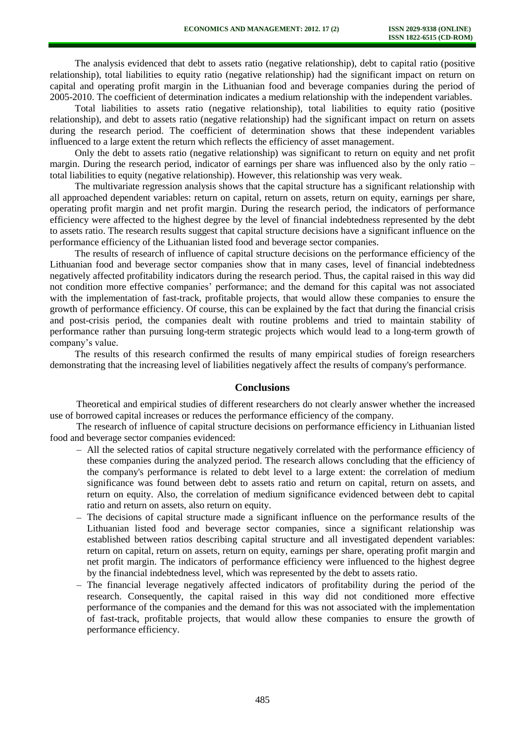The analysis evidenced that debt to assets ratio (negative relationship), debt to capital ratio (positive relationship), total liabilities to equity ratio (negative relationship) had the significant impact on return on capital and operating profit margin in the Lithuanian food and beverage companies during the period of 2005-2010. The coefficient of determination indicates a medium relationship with the independent variables.

Total liabilities to assets ratio (negative relationship), total liabilities to equity ratio (positive relationship), and debt to assets ratio (negative relationship) had the significant impact on return on assets during the research period. The coefficient of determination shows that these independent variables influenced to a large extent the return which reflects the efficiency of asset management.

Only the debt to assets ratio (negative relationship) was significant to return on equity and net profit margin. During the research period, indicator of earnings per share was influenced also by the only ratio – total liabilities to equity (negative relationship). However, this relationship was very weak.

The multivariate regression analysis shows that the capital structure has a significant relationship with all approached dependent variables: return on capital, return on assets, return on equity, earnings per share, operating profit margin and net profit margin. During the research period, the indicators of performance efficiency were affected to the highest degree by the level of financial indebtedness represented by the debt to assets ratio. The research results suggest that capital structure decisions have a significant influence on the performance efficiency of the Lithuanian listed food and beverage sector companies.

The results of research of influence of capital structure decisions on the performance efficiency of the Lithuanian food and beverage sector companies show that in many cases, level of financial indebtedness negatively affected profitability indicators during the research period. Thus, the capital raised in this way did not condition more effective companies' performance; and the demand for this capital was not associated with the implementation of fast-track, profitable projects, that would allow these companies to ensure the growth of performance efficiency. Of course, this can be explained by the fact that during the financial crisis and post-crisis period, the companies dealt with routine problems and tried to maintain stability of performance rather than pursuing long-term strategic projects which would lead to a long-term growth of company's value.

The results of this research confirmed the results of many empirical studies of foreign researchers demonstrating that the increasing level of liabilities negatively affect the results of company's performance.

#### **Conclusions**

Theoretical and empirical studies of different researchers do not clearly answer whether the increased use of borrowed capital increases or reduces the performance efficiency of the company.

The research of influence of capital structure decisions on performance efficiency in Lithuanian listed food and beverage sector companies evidenced:

- All the selected ratios of capital structure negatively correlated with the performance efficiency of these companies during the analyzed period. The research allows concluding that the efficiency of the company's performance is related to debt level to a large extent: the correlation of medium significance was found between debt to assets ratio and return on capital, return on assets, and return on equity. Also, the correlation of medium significance evidenced between debt to capital ratio and return on assets, also return on equity.
- $-$  The decisions of capital structure made a significant influence on the performance results of the Lithuanian listed food and beverage sector companies, since a significant relationship was established between ratios describing capital structure and all investigated dependent variables: return on capital, return on assets, return on equity, earnings per share, operating profit margin and net profit margin. The indicators of performance efficiency were influenced to the highest degree by the financial indebtedness level, which was represented by the debt to assets ratio.
- The financial leverage negatively affected indicators of profitability during the period of the research. Consequently, the capital raised in this way did not conditioned more effective performance of the companies and the demand for this was not associated with the implementation of fast-track, profitable projects, that would allow these companies to ensure the growth of performance efficiency.